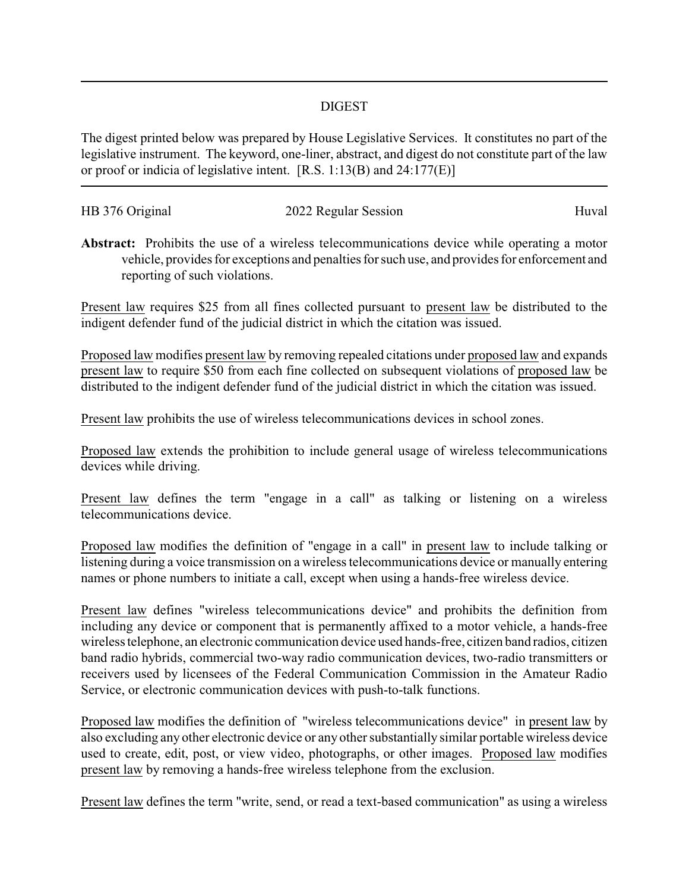## DIGEST

The digest printed below was prepared by House Legislative Services. It constitutes no part of the legislative instrument. The keyword, one-liner, abstract, and digest do not constitute part of the law or proof or indicia of legislative intent. [R.S. 1:13(B) and 24:177(E)]

| HB 376 Original | 2022 Regular Session | Huval |
|-----------------|----------------------|-------|
|                 |                      |       |

**Abstract:** Prohibits the use of a wireless telecommunications device while operating a motor vehicle, provides for exceptions and penalties for such use, and provides for enforcement and reporting of such violations.

Present law requires \$25 from all fines collected pursuant to present law be distributed to the indigent defender fund of the judicial district in which the citation was issued.

Proposed law modifies present law by removing repealed citations under proposed law and expands present law to require \$50 from each fine collected on subsequent violations of proposed law be distributed to the indigent defender fund of the judicial district in which the citation was issued.

Present law prohibits the use of wireless telecommunications devices in school zones.

Proposed law extends the prohibition to include general usage of wireless telecommunications devices while driving.

Present law defines the term "engage in a call" as talking or listening on a wireless telecommunications device.

Proposed law modifies the definition of "engage in a call" in present law to include talking or listening during a voice transmission on a wireless telecommunications device or manually entering names or phone numbers to initiate a call, except when using a hands-free wireless device.

Present law defines "wireless telecommunications device" and prohibits the definition from including any device or component that is permanently affixed to a motor vehicle, a hands-free wireless telephone, an electronic communication device used hands-free, citizen band radios, citizen band radio hybrids, commercial two-way radio communication devices, two-radio transmitters or receivers used by licensees of the Federal Communication Commission in the Amateur Radio Service, or electronic communication devices with push-to-talk functions.

Proposed law modifies the definition of "wireless telecommunications device" in present law by also excluding any other electronic device or any other substantially similar portable wireless device used to create, edit, post, or view video, photographs, or other images. Proposed law modifies present law by removing a hands-free wireless telephone from the exclusion.

Present law defines the term "write, send, or read a text-based communication" as using a wireless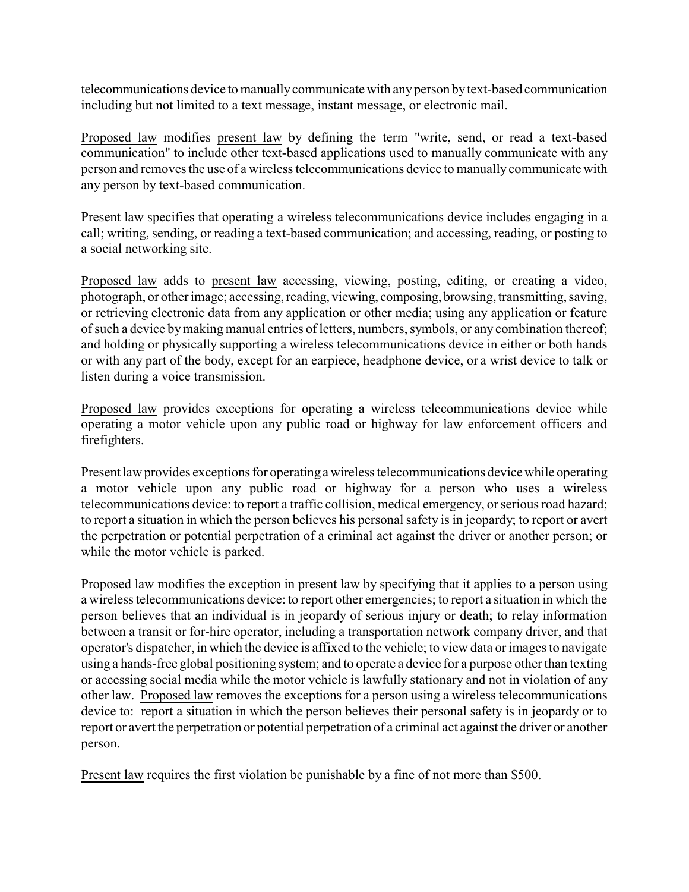telecommunications device to manuallycommunicate with anyperson bytext-based communication including but not limited to a text message, instant message, or electronic mail.

Proposed law modifies present law by defining the term "write, send, or read a text-based communication" to include other text-based applications used to manually communicate with any person and removes the use of a wireless telecommunications device to manually communicate with any person by text-based communication.

Present law specifies that operating a wireless telecommunications device includes engaging in a call; writing, sending, or reading a text-based communication; and accessing, reading, or posting to a social networking site.

Proposed law adds to present law accessing, viewing, posting, editing, or creating a video, photograph, or other image; accessing, reading, viewing, composing, browsing, transmitting, saving, or retrieving electronic data from any application or other media; using any application or feature of such a device bymaking manual entries of letters, numbers, symbols, or any combination thereof; and holding or physically supporting a wireless telecommunications device in either or both hands or with any part of the body, except for an earpiece, headphone device, or a wrist device to talk or listen during a voice transmission.

Proposed law provides exceptions for operating a wireless telecommunications device while operating a motor vehicle upon any public road or highway for law enforcement officers and firefighters.

Present law provides exceptions for operating a wireless telecommunications device while operating a motor vehicle upon any public road or highway for a person who uses a wireless telecommunications device: to report a traffic collision, medical emergency, or serious road hazard; to report a situation in which the person believes his personal safety is in jeopardy; to report or avert the perpetration or potential perpetration of a criminal act against the driver or another person; or while the motor vehicle is parked.

Proposed law modifies the exception in present law by specifying that it applies to a person using a wireless telecommunications device: to report other emergencies; to report a situation in which the person believes that an individual is in jeopardy of serious injury or death; to relay information between a transit or for-hire operator, including a transportation network company driver, and that operator's dispatcher, in which the device is affixed to the vehicle; to view data or images to navigate using a hands-free global positioning system; and to operate a device for a purpose other than texting or accessing social media while the motor vehicle is lawfully stationary and not in violation of any other law. Proposed law removes the exceptions for a person using a wireless telecommunications device to: report a situation in which the person believes their personal safety is in jeopardy or to report or avert the perpetration or potential perpetration of a criminal act against the driver or another person.

Present law requires the first violation be punishable by a fine of not more than \$500.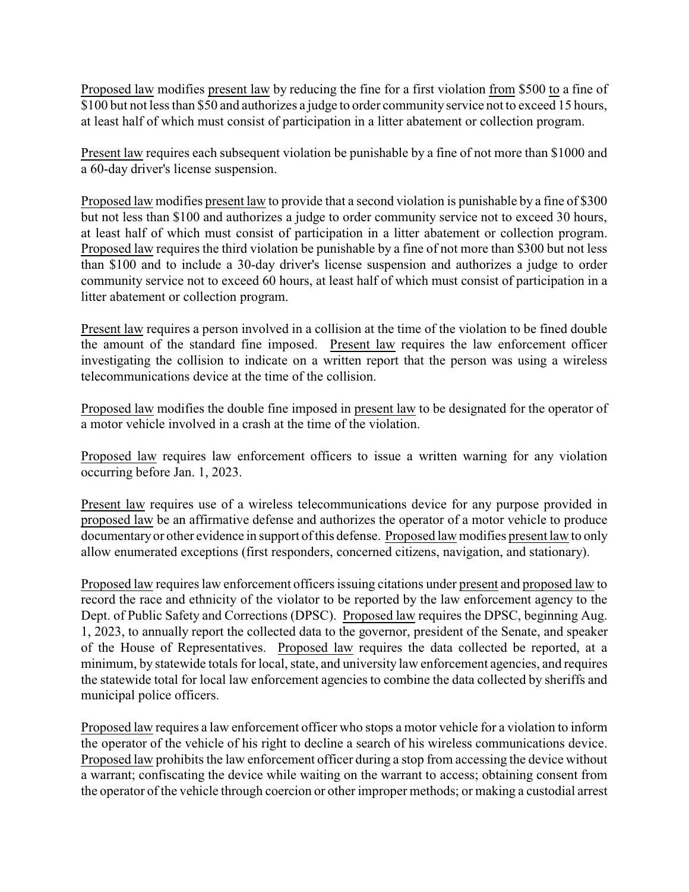Proposed law modifies present law by reducing the fine for a first violation from \$500 to a fine of \$100 but not less than \$50 and authorizes a judge to order community service not to exceed 15 hours, at least half of which must consist of participation in a litter abatement or collection program.

Present law requires each subsequent violation be punishable by a fine of not more than \$1000 and a 60-day driver's license suspension.

Proposed law modifies present law to provide that a second violation is punishable by a fine of \$300 but not less than \$100 and authorizes a judge to order community service not to exceed 30 hours, at least half of which must consist of participation in a litter abatement or collection program. Proposed law requires the third violation be punishable by a fine of not more than \$300 but not less than \$100 and to include a 30-day driver's license suspension and authorizes a judge to order community service not to exceed 60 hours, at least half of which must consist of participation in a litter abatement or collection program.

Present law requires a person involved in a collision at the time of the violation to be fined double the amount of the standard fine imposed. Present law requires the law enforcement officer investigating the collision to indicate on a written report that the person was using a wireless telecommunications device at the time of the collision.

Proposed law modifies the double fine imposed in present law to be designated for the operator of a motor vehicle involved in a crash at the time of the violation.

Proposed law requires law enforcement officers to issue a written warning for any violation occurring before Jan. 1, 2023.

Present law requires use of a wireless telecommunications device for any purpose provided in proposed law be an affirmative defense and authorizes the operator of a motor vehicle to produce documentaryor other evidence in support of this defense. Proposed law modifies present law to only allow enumerated exceptions (first responders, concerned citizens, navigation, and stationary).

Proposed law requires law enforcement officers issuing citations under present and proposed law to record the race and ethnicity of the violator to be reported by the law enforcement agency to the Dept. of Public Safety and Corrections (DPSC). Proposed law requires the DPSC, beginning Aug. 1, 2023, to annually report the collected data to the governor, president of the Senate, and speaker of the House of Representatives. Proposed law requires the data collected be reported, at a minimum, by statewide totals for local, state, and university law enforcement agencies, and requires the statewide total for local law enforcement agencies to combine the data collected by sheriffs and municipal police officers.

Proposed law requires a law enforcement officer who stops a motor vehicle for a violation to inform the operator of the vehicle of his right to decline a search of his wireless communications device. Proposed law prohibits the law enforcement officer during a stop from accessing the device without a warrant; confiscating the device while waiting on the warrant to access; obtaining consent from the operator of the vehicle through coercion or other improper methods; or making a custodial arrest